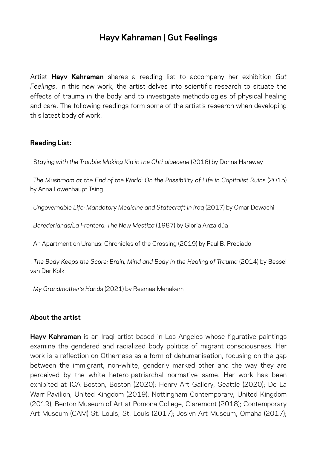## **Hayv Kahraman | Gut Feelings**

Artist **Hayv Kahraman** shares a reading list to accompany her exhibition *Gut Feelings*. In this new work, the artist delves into scientific research to situate the effects of trauma in the body and to investigate methodologies of physical healing and care. The following readings form some of the artist's research when developing this latest body of work.

## **Reading List:**

. S*taying with the Trouble: Making Kin in the Chthuluecene* (2016) by Donna Haraway

*. The Mushroom at the End of the World: On the Possibility of Life in Capitalist Ruins* (2015) by Anna Lowenhaupt Tsing

. *Ungovernable Life: Mandatory Medicine and Statecraft in Iraq* (2017) by Omar Dewachi

. *Borederlands/La Frontera: The New Mestiza* (1987) by Gloria Anzaldúa

. An Apartment on Uranus: Chronicles of the Crossing (2019) by Paul B. Preciado

. *The Body Keeps the Score: Brain, Mind and Body in the Healing of Trauma* (2014) by Bessel van Der Kolk

. *My Grandmother's Hands* (2021) by Resmaa Menakem

## **About the artist**

**Hayv Kahraman** is an Iraqi artist based in Los Angeles whose figurative paintings examine the gendered and racialized body politics of migrant consciousness. Her work is a reflection on Otherness as a form of dehumanisation, focusing on the gap between the immigrant, non-white, genderly marked other and the way they are perceived by the white hetero-patriarchal normative same. Her work has been exhibited at ICA Boston, Boston (2020); Henry Art Gallery, Seattle (2020); De La Warr Pavilion, United Kingdom (2019); Nottingham Contemporary, United Kingdom (2019); Benton Museum of Art at Pomona College, Claremont (2018); Contemporary Art Museum (CAM) St. Louis, St. Louis (2017); Joslyn Art Museum, Omaha (2017);